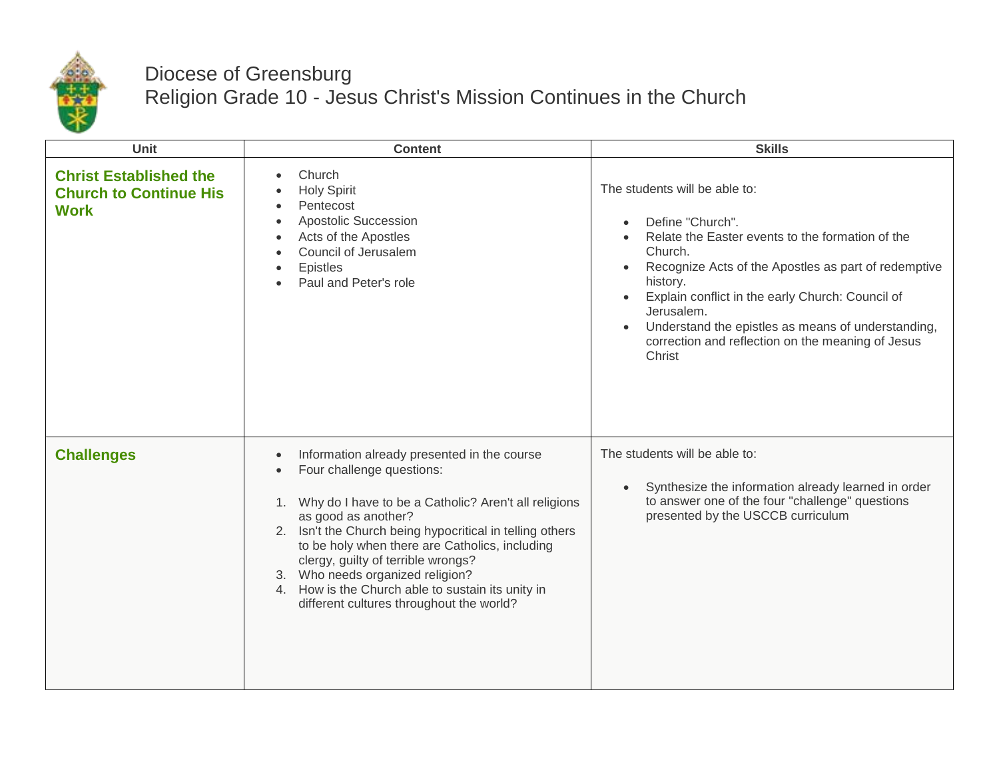

## Diocese of Greensburg Religion Grade 10 - Jesus Christ's Mission Continues in the Church

| Unit                                                                          | <b>Content</b>                                                                                                                                                                                                                                                                                                                                                                                                                                         | <b>Skills</b>                                                                                                                                                                                                                                                                                                                                                                            |
|-------------------------------------------------------------------------------|--------------------------------------------------------------------------------------------------------------------------------------------------------------------------------------------------------------------------------------------------------------------------------------------------------------------------------------------------------------------------------------------------------------------------------------------------------|------------------------------------------------------------------------------------------------------------------------------------------------------------------------------------------------------------------------------------------------------------------------------------------------------------------------------------------------------------------------------------------|
| <b>Christ Established the</b><br><b>Church to Continue His</b><br><b>Work</b> | Church<br><b>Holy Spirit</b><br>Pentecost<br><b>Apostolic Succession</b><br>Acts of the Apostles<br>Council of Jerusalem<br><b>Epistles</b><br>Paul and Peter's role                                                                                                                                                                                                                                                                                   | The students will be able to:<br>Define "Church".<br>Relate the Easter events to the formation of the<br>Church.<br>Recognize Acts of the Apostles as part of redemptive<br>$\bullet$<br>history.<br>Explain conflict in the early Church: Council of<br>Jerusalem.<br>Understand the epistles as means of understanding,<br>correction and reflection on the meaning of Jesus<br>Christ |
| <b>Challenges</b>                                                             | Information already presented in the course<br>Four challenge questions:<br>Why do I have to be a Catholic? Aren't all religions<br>1.<br>as good as another?<br>2. Isn't the Church being hypocritical in telling others<br>to be holy when there are Catholics, including<br>clergy, guilty of terrible wrongs?<br>3. Who needs organized religion?<br>4. How is the Church able to sustain its unity in<br>different cultures throughout the world? | The students will be able to:<br>Synthesize the information already learned in order<br>to answer one of the four "challenge" questions<br>presented by the USCCB curriculum                                                                                                                                                                                                             |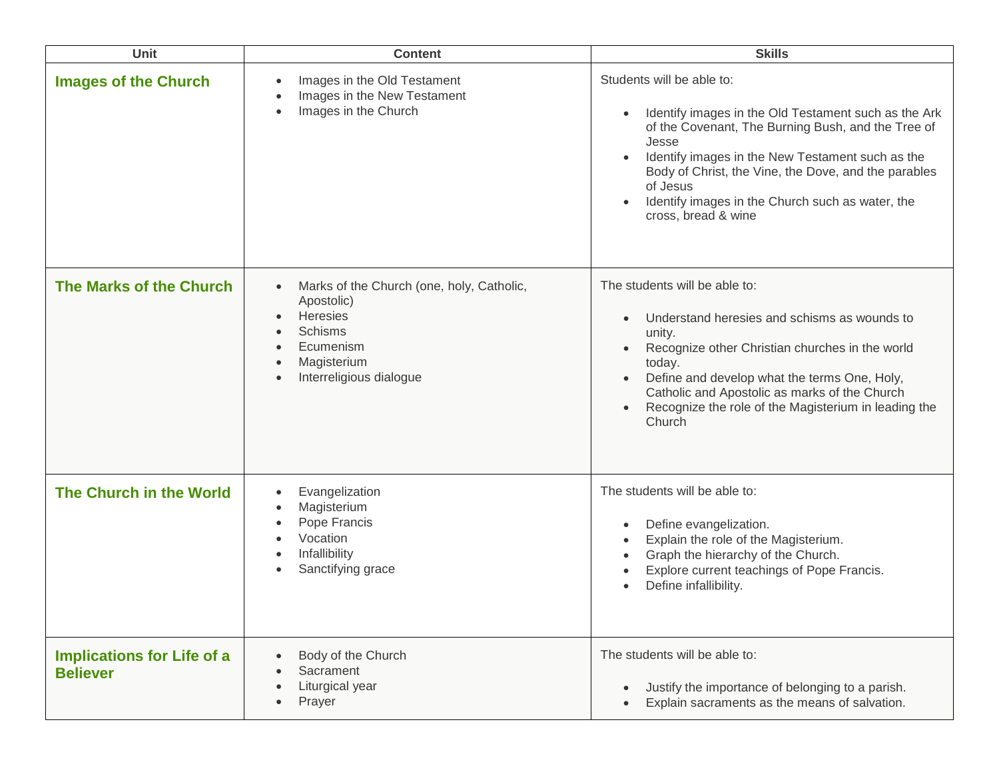| Unit                                                 | <b>Content</b>                                                                                                                                                                                                | <b>Skills</b>                                                                                                                                                                                                                                                                                                                                       |
|------------------------------------------------------|---------------------------------------------------------------------------------------------------------------------------------------------------------------------------------------------------------------|-----------------------------------------------------------------------------------------------------------------------------------------------------------------------------------------------------------------------------------------------------------------------------------------------------------------------------------------------------|
| <b>Images of the Church</b>                          | Images in the Old Testament<br>$\bullet$<br>Images in the New Testament<br>Images in the Church<br>$\bullet$                                                                                                  | Students will be able to:<br>Identify images in the Old Testament such as the Ark<br>of the Covenant, The Burning Bush, and the Tree of<br>Jesse<br>Identify images in the New Testament such as the<br>Body of Christ, the Vine, the Dove, and the parables<br>of Jesus<br>Identify images in the Church such as water, the<br>cross, bread & wine |
| The Marks of the Church                              | Marks of the Church (one, holy, Catholic,<br>$\bullet$<br>Apostolic)<br>Heresies<br>$\bullet$<br><b>Schisms</b><br>Ecumenism<br>$\bullet$<br>Magisterium<br>$\bullet$<br>Interreligious dialogue<br>$\bullet$ | The students will be able to:<br>Understand heresies and schisms as wounds to<br>unity.<br>Recognize other Christian churches in the world<br>today.<br>Define and develop what the terms One, Holy,<br>Catholic and Apostolic as marks of the Church<br>Recognize the role of the Magisterium in leading the<br>Church                             |
| The Church in the World                              | Evangelization<br>$\bullet$<br>Magisterium<br>$\bullet$<br>Pope Francis<br>$\bullet$<br>Vocation<br>$\bullet$<br>Infallibility<br>$\bullet$<br>Sanctifying grace<br>$\bullet$                                 | The students will be able to:<br>Define evangelization.<br>Explain the role of the Magisterium.<br>Graph the hierarchy of the Church.<br>Explore current teachings of Pope Francis.<br>Define infallibility.                                                                                                                                        |
| <b>Implications for Life of a</b><br><b>Believer</b> | Body of the Church<br>Sacrament<br>Liturgical year<br>$\bullet$<br>Prayer<br>$\bullet$                                                                                                                        | The students will be able to:<br>Justify the importance of belonging to a parish.<br>Explain sacraments as the means of salvation.                                                                                                                                                                                                                  |